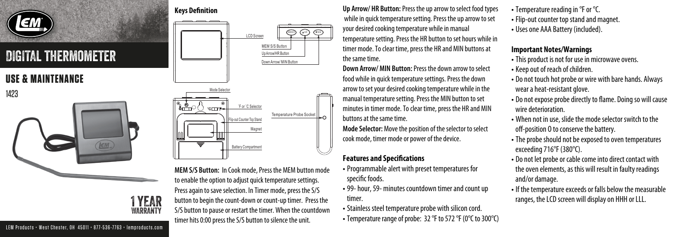

# DIGITAL thermometer

## **USE & MAINTENANCE**

1423



### **Keys Definition** MEMSISJ EANH J EVANN LCD Screen MEM S/S Button Up Arrow/HR ButtonDown Arrow/ MIN Button Mode Selecto 'F or 'C Selector க—்்(்) ∘ாா Temperature Probe Socket p-out Counter Top Stan Magnet

**MEM S/S Button:** In Cook mode, Press the MEM button mode to enable the option to adjust quick temperature settings. Press again to save selection. In Timer mode, press the S/S button to begin the count-down or count-up timer. Press the S/S button to pause or restart the timer. When the countdown timer hits 0:00 press the S/S button to silence the unit.

**Battery Compartment** 

**Up Arrow/ HR Button:** Press the up arrow to select food types while in quick temperature setting. Press the up arrow to set your desired cooking temperature while in manual temperature setting. Press the HR button to set hours while in timer mode. To clear time, press the HR and MIN buttons at the same time.

**Down Arrow/ MIN Button:** Press the down arrow to select food while in quick temperature settings. Press the down arrow to set your desired cooking temperature while in the manual temperature setting. Press the MIN button to set minutes in timer mode. To clear time, press the HR and MIN buttons at the same time.

**Mode Selector:** Move the position of the selector to select cook mode, timer mode or power of the device.

### **Features and Specifications**

- Programmable alert with preset temperatures for specific foods.
- 99- hour, 59- minutes countdown timer and count up timer.
- Stainless steel temperature probe with silicon cord.
- Temperature range of probe: 32 °F to 572 °F (0°C to 300°C)
- Temperature reading in °F or °C.
- Flip-out counter top stand and magnet.
- Uses one AAA Battery (included).

#### **Important Notes/Warnings**

- This product is not for use in microwave ovens.
- Keep out of reach of children.
- Do not touch hot probe or wire with bare hands. Always wear a heat-resistant glove.
- Do not expose probe directly to flame. Doing so will cause wire deterioration.
- When not in use, slide the mode selector switch to the off-position 0 to conserve the battery.
- The probe should not be exposed to oven temperatures exceeding 716°F (380°C).
- Do not let probe or cable come into direct contact with the oven elements, as this will result in faulty readings and/or damage.
- If the temperature exceeds or falls below the measurable ranges, the LCD screen will display on HHH or LLL.

LEM Products • West Chester, OH 45011 • 877-536-7763 • lemproducts.com

1 YEAR WARRANTY